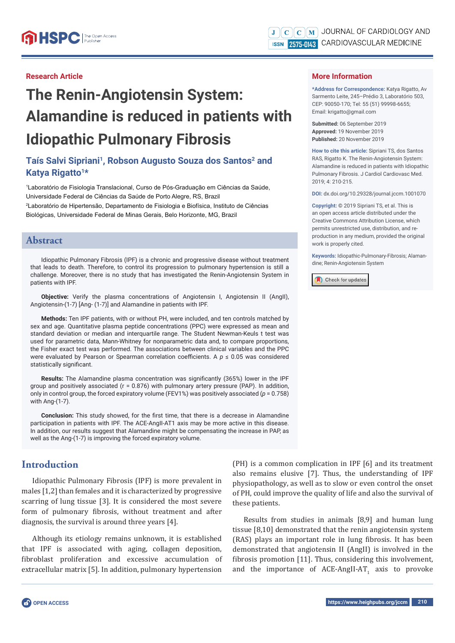## **Research Article**

# **The Renin-Angiotensin System: Alamandine is reduced in patients with Idiopathic Pulmonary Fibrosis**

# Taís Salvi Sipriani<sup>1</sup>, Robson Augusto Souza dos Santos<sup>2</sup> and **Katya Rigatto1\***

1 Laboratório de Fisiologia Translacional, Curso de Pós-Graduação em Ciências da Saúde, Universidade Federal de Ciências da Saúde de Porto Alegre, RS, Brazil 2 Laboratório de Hipertensão, Departamento de Fisiologia e Biofísica, Instituto de Ciências Biológicas, Universidade Federal de Minas Gerais, Belo Horizonte, MG, Brazil

# **Abstract**

Idiopathic Pulmonary Fibrosis (IPF) is a chronic and progressive disease without treatment that leads to death. Therefore, to control its progression to pulmonary hypertension is still a challenge. Moreover, there is no study that has investigated the Renin-Angiotensin System in patients with IPF.

**Objective:** Verify the plasma concentrations of Angiotensin I, Angiotensin II (AngII), Angiotensin-(1-7) [Ang- (1-7)] and Alamandine in patients with IPF.

**Methods:** Ten IPF patients, with or without PH, were included, and ten controls matched by sex and age. Quantitative plasma peptide concentrations (PPC) were expressed as mean and standard deviation or median and interquartile range. The Student Newman-Keuls t test was used for parametric data, Mann-Whitney for nonparametric data and, to compare proportions, the Fisher exact test was performed. The associations between clinical variables and the PPC were evaluated by Pearson or Spearman correlation coefficients. A  $p \le 0.05$  was considered statistically significant.

**Results:** The Alamandine plasma concentration was significantly (365%) lower in the IPF group and positively associated (r = 0.876) with pulmonary artery pressure (PAP). In addition, only in control group, the forced expiratory volume (FEV1%) was positively associated ( $p = 0.758$ ) with Ang-(1-7).

**Conclusion:** This study showed, for the first time, that there is a decrease in Alamandine participation in patients with IPF. The ACE-AngII-AT1 axis may be more active in this disease. In addition, our results suggest that Alamandine might be compensating the increase in PAP, as well as the Ang-(1-7) is improving the forced expiratory volume.

# **Introduction**

Idiopathic Pulmonary Fibrosis (IPF) is more prevalent in males [1,2] than females and it is characterized by progressive scarring of lung tissue [3]. It is considered the most severe form of pulmonary fibrosis, without treatment and after diagnosis, the survival is around three years [4].

Although its etiology remains unknown, it is established that IPF is associated with aging, collagen deposition, fibroblast proliferation and excessive accumulation of extracellular matrix [5]. In addition, pulmonary hypertension

JOURNAL OF CARDIOLOGY AND  $\parallel$ M $\parallel$  $\mathbf C$  $\mathbb{C}$ ISSN 7575-0143 CARDIOVASCULAR MEDICINE

#### **More Information**

**\*Address for Correspondence:** Katya Rigatto, Av Sarmento Leite, 245–Prédio 3, Laboratório 503, CEP: 90050-170; Tel: 55 (51) 99998-6655; Email: krigatto@gmail.com

**Submitted:** 06 September 2019 **Approved:** 19 November 2019 **Published:** 20 November 2019

**How to cite this article:** Sipriani TS, dos Santos RAS, Rigatto K. The Renin-Angiotensin System: Alamandine is reduced in patients with Idiopathic Pulmonary Fibrosis. J Cardiol Cardiovasc Med. 2019; 4: 210-215.

**DOI:** dx.doi.org/10.29328/journal.jccm.1001070

**Copyright: ©** 2019 Sipriani TS, et al. This is an open access article distributed under the Creative Commons Attribution License, which permits unrestricted use, distribution, and reproduction in any medium, provided the original work is properly cited.

**Keywords:** Idiopathic-Pulmonary-Fibrosis; Alamandine; Renin-Angiotensin System



(PH) is a common complication in IPF [6] and its treatment also remains elusive [7]. Thus, the understanding of IPF physiopathology, as well as to slow or even control the onset of PH, could improve the quality of life and also the survival of these patients.

Results from studies in animals [8,9] and human lung tissue [8,10] demonstrated that the renin angiotensin system (RAS) plays an important role in lung fibrosis. It has been demonstrated that angiotensin II (AngII) is involved in the fibrosis promotion [11]. Thus, considering this involvement, and the importance of ACE-AngII-AT $_1$  axis to provoke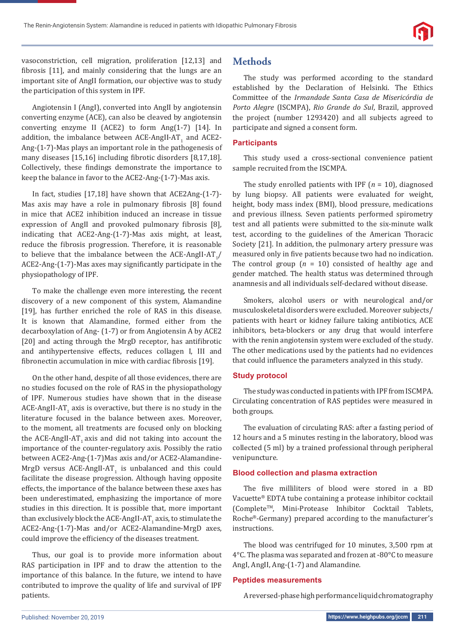

vasoconstriction, cell migration, proliferation [12,13] and fibrosis [11], and mainly considering that the lungs are an important site of AngII formation, our objective was to study the participation of this system in IPF.

Angiotensin I (AngI), converted into AngII by angiotensin converting enzyme (ACE), can also be cleaved by angiotensin converting enzyme II (ACE2) to form Ang(1-7) [14]. In addition, the imbalance between ACE-AngII-AT $_{\rm_1}$  and ACE2-Ang-(1-7)-Mas plays an important role in the pathogenesis of many diseases [15,16] including fibrotic disorders [8,17,18]. Collectively, these findings demonstrate the importance to keep the balance in favor to the ACE2-Ang-(1-7)-Mas axis.

In fact, studies [17,18] have shown that ACE2Ang-(1-7)- Mas axis may have a role in pulmonary fibrosis [8] found in mice that ACE2 inhibition induced an increase in tissue expression of AngII and provoked pulmonary fibrosis [8], indicating that ACE2-Ang-(1-7)-Mas axis might, at least, reduce the fibrosis progression. Therefore, it is reasonable to believe that the imbalance between the ACE-AngII-AT $_1/$  $ACE2$ -Ang- $(1-7)$ -Mas axes may significantly participate in the physiopathology of IPF.

To make the challenge even more interesting, the recent discovery of a new component of this system, Alamandine [19], has further enriched the role of RAS in this disease. It is known that Alamandine, formed either from the decarboxylation of Ang- (1-7) or from Angiotensin A by ACE2 [20] and acting through the MrgD receptor, has antifibrotic and antihypertensive effects, reduces collagen I, III and fibronectin accumulation in mice with cardiac fibrosis [19].

On the other hand, despite of all those evidences, there are no studies focused on the role of RAS in the physiopathology of IPF. Numerous studies have shown that in the disease ACE-AngII-AT<sub>1</sub> axis is overactive, but there is no study in the literature focused in the balance between axes. Moreover, to the moment, all treatments are focused only on blocking the ACE-AngII-AT<sub>1</sub> axis and did not taking into account the importance of the counter-regulatory axis. Possibly the ratio between ACE2-Ang-(1-7)Mas axis and/or ACE2-Alamandine-MrgD versus  $ACE$ -AngII-AT<sub>1</sub> is unbalanced and this could facilitate the disease progression. Although having opposite effects, the importance of the balance between these axes has been underestimated, emphasizing the importance of more studies in this direction. It is possible that, more important than exclusively block the ACE-AngII-AT $_{\rm 1}$  axis, to stimulate the ACE2-Ang-(1-7)-Mas and/or ACE2-Alamandine-MrgD axes, could improve the efficiency of the diseases treatment.

Thus, our goal is to provide more information about RAS participation in IPF and to draw the attention to the importance of this balance. In the future, we intend to have contributed to improve the quality of life and survival of IPF patients.

# **Methods**

The study was performed according to the standard established by the Declaration of Helsinki. The Ethics Committee of the *Irmandade Santa Casa de Misericórdia de Porto Alegre* (ISCMPA), *Rio Grande do Sul*, Brazil, approved the project (number 1293420) and all subjects agreed to participate and signed a consent form.

#### **Participants**

This study used a cross-sectional convenience patient sample recruited from the ISCMPA.

The study enrolled patients with IPF (*n* = 10), diagnosed by lung biopsy. All patients were evaluated for weight, height, body mass index (BMI), blood pressure, medications and previous illness. Seven patients performed spirometry test and all patients were submitted to the six-minute walk test, according to the guidelines of the American Thoracic Society [21]. In addition, the pulmonary artery pressure was measured only in five patients because two had no indication. The control group  $(n = 10)$  consisted of healthy age and gender matched. The health status was determined through anamnesis and all individuals self-declared without disease.

Smokers, alcohol users or with neurological and/or musculoskeletal disorders were excluded. Moreover subjects/ patients with heart or kidney failure taking antibiotics, ACE inhibitors, beta-blockers or any drug that would interfere with the renin angiotensin system were excluded of the study. The other medications used by the patients had no evidences that could influence the parameters analyzed in this study.

#### **Study protocol**

The study was conducted in patients with IPF from ISCMPA. Circulating concentration of RAS peptides were measured in both groups.

The evaluation of circulating RAS: after a fasting period of 12 hours and a 5 minutes resting in the laboratory, blood was collected (5 ml) by a trained professional through peripheral venipuncture.

#### **Blood collection and plasma extraction**

The five milliliters of blood were stored in a BD Vacuette® EDTA tube containing a protease inhibitor cocktail (CompleteTM, Mini-Protease Inhibitor Cocktail Tablets, Roche®-Germany) prepared according to the manufacturer's instructions.

The blood was centrifuged for 10 minutes, 3,500 rpm at 4°C. The plasma was separated and frozen at -80°C to measure AngI, AngII, Ang-(1-7) and Alamandine.

#### **Peptides measurements**

A reversed-phase high performance liquid chromatography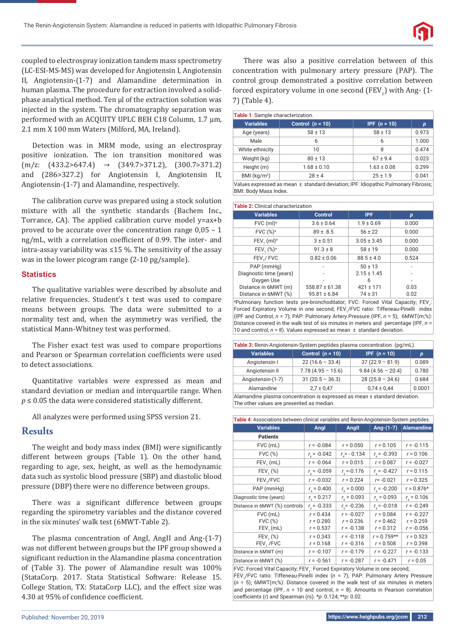

coupled to electrospray ionization tandem mass spectrometry (LC-ESI-MS-MS) was developed for Angiotensin I, Angiotensin II, Angiotensin-(1-7) and Alamandine determination in human plasma. The procedure for extraction involved a solidphase analytical method. Ten μl of the extraction solution was injected in the system. The chromatography separation was performed with an ACQUITY UPLC BEH C18 Column, 1.7 μm, 2.1 mm X 100 mm Waters (Milford, MA, Ireland).

Detection was in MRM mode, using an electrospray positive ionization. The ion transition monitored was  $(m/z; (433.2>647.4) \rightarrow (349.7>371.2), (300.7>371.2)$ and (286>327.2) for Angiotensin I, Angiotensin II, Angiotensin-(1-7) and Alamandine, respectively.

The calibration curve was prepared using a stock solution mixture with all the synthetic standards (Bachem Inc., Torrance, CA). The applied calibration curve model y=ax+b proved to be accurate over the concentration range 0,05 – 1 ng/mL, with a correlation coefficient of 0.99. The inter- and intra-assay variability was ≤15 %. The sensitivity of the assay was in the lower picogram range (2-10 pg/sample).

#### **Statistics**

The qualitative variables were described by absolute and relative frequencies. Student's t test was used to compare means between groups. The data were submitted to a normality test and, when the asymmetry was verified, the statistical Mann-Whitney test was performed.

The Fisher exact test was used to compare proportions and Pearson or Spearman correlation coefficients were used to detect associations.

Quantitative variables were expressed as mean and standard deviation or median and interquartile range. When  $p \leq 0.05$  the data were considered statistically different.

All analyzes were performed using SPSS version 21.

## **Results**

The weight and body mass index (BMI) were significantly different between groups (Table 1). On the other hand, regarding to age, sex, height, as well as the hemodynamic data such as systolic blood pressure (SBP) and diastolic blood pressure (DBP) there were no difference between groups.

There was a significant difference between groups regarding the spirometry variables and the distance covered in the six minutes' walk test (6MWT-Table 2).

The plasma concentration of AngI, AngII and Ang-(1-7) was not different between groups but the IPF group showed a significant reduction in the Alamandine plasma concentration of (Table 3). The power of Alamandine result was 100% (StataCorp. 2017. Stata Statistical Software: Release 15. College Station, TX: StataCorp LLC), and the effect size was 4.30 at 95% of confidence coefficient.

There was also a positive correlation between of this concentration with pulmonary artery pressure (PAP). The control group demonstrated a positive correlation between forced expiratory volume in one second  $(FEV_1)$  with Ang- $(1$ -7) (Table 4).

| Table 1: Sample characterization. |                    |                       |       |  |  |
|-----------------------------------|--------------------|-----------------------|-------|--|--|
| <b>Variables</b>                  | Control $(n = 10)$ | <b>IPF</b> $(n = 10)$ | р     |  |  |
| Age (years)                       | $58 \pm 13$        | $58 \pm 13$           | 0.973 |  |  |
| Male                              | 6                  | 6                     | 1.000 |  |  |
| White ethnicity                   | 10                 | 8                     | 0.474 |  |  |
| Weight (kg)                       | $80 \pm 13$        | $67 \pm 9.4$          | 0.023 |  |  |
| Height (m)                        | $1.68 \pm 0.10$    | $1.63 \pm 0.08$       | 0.299 |  |  |
| BMI $(kq/m2)$                     | $28 \pm 4$         | $25 \pm 1.9$          | 0.041 |  |  |

Values expressed as mean ± standard deviation; IPF: Idiopathic Pulmonary Fibrosis; BMI: Body Mass Index.

| <b>Table 2: Clinical characterization</b> |                    |                 |       |  |  |  |  |
|-------------------------------------------|--------------------|-----------------|-------|--|--|--|--|
| <b>Variables</b>                          | <b>Control</b>     | <b>IPF</b>      | p     |  |  |  |  |
| FVC (ml) <sup>a</sup>                     | $3.6 \pm 0.64$     | $1.9 \pm 0.69$  | 0.000 |  |  |  |  |
| FVC (%) <sup>a</sup>                      | $89 \pm 8.5$       | $56 \pm 22$     | 0.000 |  |  |  |  |
| FEV, (ml) <sup>a</sup>                    | $3 + 0.51$         | $3.05 \pm 3.45$ | 0.000 |  |  |  |  |
| FEV, (%) <sup>a</sup>                     | $91.3 \pm 8$       | $58 \pm 19$     | 0.000 |  |  |  |  |
| FEV <sub>1</sub> /FVC                     | $0.82 \pm 0.06$    | $88.5 \pm 4.0$  | 0.524 |  |  |  |  |
| PAP (mmHg)                                |                    | $50 \pm 13$     |       |  |  |  |  |
| Diagnostic time (years)                   |                    | $2.15 \pm 1.45$ |       |  |  |  |  |
| Oxygen Use                                |                    | 6               |       |  |  |  |  |
| Distance in 6MWT (m)                      | $558.87 \pm 61.38$ | $421 \pm 171$   | 0.03  |  |  |  |  |
| Distance in 6MWT (%)                      | $95.81 \pm 6.84$   | $74 \pm 31$     | 0.02  |  |  |  |  |

<sup>a</sup>Pulmonary function tests pre-bronchodilator; FVC: Forced Vital Capacity; FEV<sub>1</sub>: Forced Expiratory Volume in one second; FEV<sub>1</sub>/FVC ratio: Tiffeneau-Pinelli index (IPF and Control, *n* = 7); PAP: Pulmonary Artery Pressure (IPF, *n* = 5); 6MWT(m;%): Distance covered in the walk test of six minutes in meters and percentage (IPF, *n* = 10 and control,  $n = 8$ ). Values expressed as mean  $\pm$  standard deviation.

| Table 3: Renin-Angiotensin-System peptides plasma concentration (pg/mL).   |                     |                       |        |  |  |
|----------------------------------------------------------------------------|---------------------|-----------------------|--------|--|--|
| <b>Variables</b>                                                           | Control $(n = 10)$  | <b>IPF</b> $(n = 10)$ | p      |  |  |
| Angiotensin I                                                              | $22(16.6 - 33.4)$   | $37(22.9 - 81.9)$     | 0.089  |  |  |
| Angiotensin II                                                             | $7.78(4.95 - 15.6)$ | $9.84(4.56 - 20.4)$   | 0.780  |  |  |
| Angiotensin-(1-7)                                                          | $31(20.5 - 36.3)$   | $28(25.8 - 34.6)$     | 0.684  |  |  |
| Alamandine                                                                 | $2.7 \pm 0.47$      | $0.74 \pm 0.44$       | 0.0001 |  |  |
| Alamandine plasma concentration is expressed as mean ± standard deviation. |                     |                       |        |  |  |

The other values are presented as median.

| Table 4: Associations between clinical variables and Renin-Angiotensin-System peptides. |                            |                             |                            |                             |  |  |
|-----------------------------------------------------------------------------------------|----------------------------|-----------------------------|----------------------------|-----------------------------|--|--|
| <b>Variables</b>                                                                        | Angl                       | Angll                       | Ang- $(1-7)$               | <b>Alamandine</b>           |  |  |
| <b>Patients</b>                                                                         |                            |                             |                            |                             |  |  |
| FVC (mL)                                                                                | $r = -0.084$               | $r = 0.050$                 | $r = 0.105$                | $r = -0.115$                |  |  |
| $FVC$ $(*)$                                                                             | $r_{\rm s}$ = -0.042       | $r = -0.134$                | $r_{\rm s}$ = -0.393       | $r = 0.106$                 |  |  |
| FEV, (mL)                                                                               | $r = -0.064$               | $r = 0.015$                 | $r = 0.087$                | $r = -0.027$                |  |  |
| $FEV, (*)$                                                                              | $r_{\rm s}$ = -0.059       | $r_{\rm s} = -0.176$        | $r_{\rm s}$ = -0.427       | $r = 0.115$                 |  |  |
| FEV <sub>1</sub> /FVC                                                                   | $r = -0.032$               | $r = 0.224$                 | $r = -0.021$               | $r = 0.325$                 |  |  |
| PAP (mmHg)                                                                              | $r_{\rm s} = 0.400$        | $r_{\rm s} = 0.000$         | $r_{\rm s}$ = -0.200       | $r = 0.876*$                |  |  |
| Diagnostic time (years)                                                                 | $r_s = 0.217$              | $r_{s} = 0.093$             | $r_{s} = 0.093$            | $r_{\rm s} = 0.106$         |  |  |
| Distance in 6MWT (%) controls                                                           | $r_{s}$ = -0.333           | $r_s$ = -0.236              | $r_s = -0.018$             | $r = -0.249$                |  |  |
| FVC (mL)<br><b>FVC (%)</b>                                                              | $r = 0.434$<br>$r = 0.280$ | $r = -0.027$<br>$r = 0.236$ | $r = 0.084$<br>$r = 0.462$ | $r = -0.227$<br>$r = 0.259$ |  |  |
| FEV, (mL)                                                                               | $r = 0.537$                | $r = -0.138$                | $r = 0.312$                | $r = -0.056$                |  |  |
| FEV, (%)                                                                                | $r = 0.343$                | $r = -0.118$                | $r = 0.759**$              | $r = 0.523$                 |  |  |
| FEV, /FVC                                                                               | $r = 0.168$                | $r = -0.316$                | $r = 0.508$                | $r = 0.398$                 |  |  |
| Distance in 6MWT (m)                                                                    | $r = -0.107$               | $r = -0.179$                | $r = -0.227$               | $r = -0.133$                |  |  |
| Distance in 6MWT (%)                                                                    | $r = -0.561$               | $r = -0.287$                | $r = -0.471$               | $r = 0.05$                  |  |  |

FVC: Forced Vital Capacity; FEV<sub>1</sub>: Forced Expiratory Volume in one second; FEV<sub>1</sub>/FVC ratio: Tiffeneau-Pinelli index (n = 7); PAP: Pulmonary Artery Pressure (*n* = 5); 6MWT(m;%): Distance covered in the walk test of six minutes in meters and percentage (IPF, *n* = 10 and control, *n* = 8). Amounts in Pearson correlation coefficients (*r*) and Spearman (rs). \*p: 0.124; \*\*p: 0.02.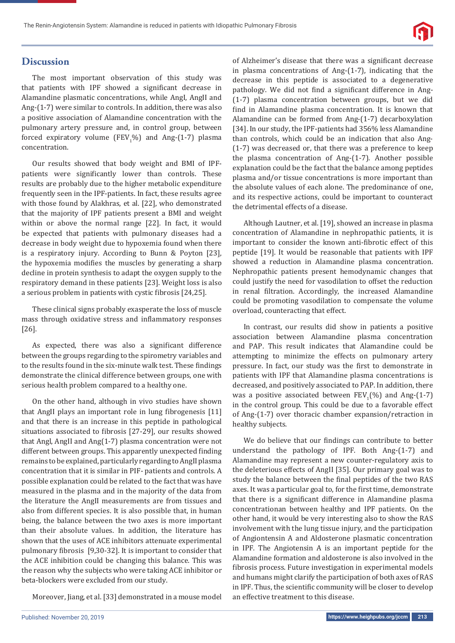

# **Discussion**

The most important observation of this study was that patients with IPF showed a significant decrease in Alamandine plasmatic concentrations, while AngI, AngII and Ang-(1-7) were similar to controls. In addition, there was also a positive association of Alamandine concentration with the pulmonary artery pressure and, in control group, between forced expiratory volume ( $FEV<sub>1</sub>$ %) and Ang-(1-7) plasma concentration.

Our results showed that body weight and BMI of IPFpatients were significantly lower than controls. These results are probably due to the higher metabolic expenditure frequently seen in the IPF-patients. In fact, these results agree with those found by Alakhras, et al. [22], who demonstrated that the majority of IPF patients present a BMI and weight within or above the normal range [22]. In fact, it would be expected that patients with pulmonary diseases had a decrease in body weight due to hypoxemia found when there is a respiratory injury. According to Bunn & Poyton [23], the hypoxemia modifies the muscles by generating a sharp decline in protein synthesis to adapt the oxygen supply to the respiratory demand in these patients [23]. Weight loss is also a serious problem in patients with cystic fibrosis [24,25].

These clinical signs probably exasperate the loss of muscle mass through oxidative stress and inflammatory responses [26].

As expected, there was also a significant difference between the groups regarding to the spirometry variables and to the results found in the six-minute walk test. These findings demonstrate the clinical difference between groups, one with serious health problem compared to a healthy one.

On the other hand, although in vivo studies have shown that AngII plays an important role in lung fibrogenesis [11] and that there is an increase in this peptide in pathological situations associated to fibrosis [27-29], our results showed that Angl, AngII and Ang(1-7) plasma concentration were not different between groups. This apparently unexpected finding remains to be explained, particularly regarding to AngII plasma concentration that it is similar in PIF- patients and controls. A possible explanation could be related to the fact that was have measured in the plasma and in the majority of the data from the literature the AngII measurements are from tissues and also from different species. It is also possible that, in human being, the balance between the two axes is more important than their absolute values. In addition, the literature has shown that the uses of ACE inhibitors attenuate experimental pulmonary fibrosis [9,30-32]. It is important to consider that the ACE inhibition could be changing this balance. This was the reason why the subjects who were taking ACE inhibitor or beta-blockers were excluded from our study.

Moreover, Jiang, et al. [33] demonstrated in a mouse model

of Alzheimer's disease that there was a significant decrease in plasma concentrations of Ang-(1-7), indicating that the decrease in this peptide is associated to a degenerative pathology. We did not find a significant difference in Ang-(1-7) plasma concentration between groups, but we did find in Alamandine plasma concentration. It is known that Alamandine can be formed from Ang-(1-7) decarboxylation [34]. In our study, the IPF-patients had 356% less Alamandine than controls, which could be an indication that also Ang- (1-7) was decreased or, that there was a preference to keep the plasma concentration of Ang-(1-7). Another possible explanation could be the fact that the balance among peptides plasma and/or tissue concentrations is more important than the absolute values of each alone. The predominance of one, and its respective actions, could be important to counteract the detrimental effects of a disease.

Although Lautner, et al. [19], showed an increase in plasma concentration of Alamandine in nephropathic patients, it is important to consider the known anti-fibrotic effect of this peptide [19]. It would be reasonable that patients with IPF showed a reduction in Alamandine plasma concentration. Nephropathic patients present hemodynamic changes that could justify the need for vasodilation to offset the reduction in renal filtration. Accordingly, the increased Alamandine could be promoting vasodilation to compensate the volume overload, counteracting that effect.

In contrast, our results did show in patients a positive association between Alamandine plasma concentration and PAP. This result indicates that Alamandine could be attempting to minimize the effects on pulmonary artery pressure. In fact, our study was the first to demonstrate in patients with IPF that Alamandine plasma concentrations is decreased, and positively associated to PAP. In addition, there was a positive associated between  $FEV_1(\%)$  and Ang-(1-7) in the control group. This could be due to a favorable effect of Ang-(1-7) over thoracic chamber expansion/retraction in healthy subjects.

We do believe that our findings can contribute to better understand the pathology of IPF. Both Ang-(1-7) and Alamandine may represent a new counter-regulatory axis to the deleterious effects of AngII [35]. Our primary goal was to study the balance between the final peptides of the two RAS axes. It was a particular goal to, for the first time, demonstrate that there is a significant difference in Alamandine plasma concentrationan between healthy and IPF patients. On the other hand, it would be very interesting also to show the RAS involvement with the lung tissue injury, and the participation of Angiontensin A and Aldosterone plasmatic concentration in IPF. The Angiotensin A is an important peptide for the Alamandine formation and aldosterone is also involved in the fibrosis process. Future investigation in experimental models and humans might clarify the participation of both axes of RAS in IPF. Thus, the scientific community will be closer to develop an effective treatment to this disease.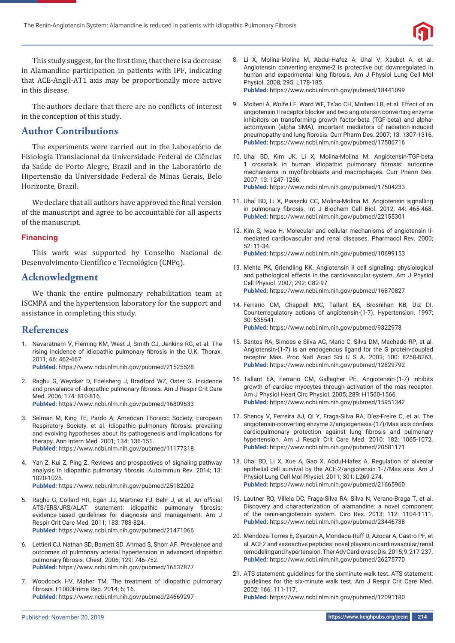

This study suggest, for the first time, that there is a decrease in Alamandine participation in patients with IPF, indicating that ACE-AngII-AT1 axis may be proportionally more active in this disease.

The authors declare that there are no conflicts of interest in the conception of this study.

# **Author Contributions**

The experiments were carried out in the Laboratório de Fisiologia Translacional da Universidade Federal de Ciências da Saúde de Porto Alegre, Brazil and in the Laboratório de Hipertensão da Universidade Federal de Minas Gerais, Belo Horizonte, Brazil.

We declare that all authors have approved the final version of the manuscript and agree to be accountable for all aspects of the manuscript.

#### **Financing**

This work was supported by Conselho Nacional de Desenvolvimento Científico e Tecnológico (CNPq).

## **Acknowledgment**

We thank the entire pulmonary rehabilitation team at ISCMPA and the hypertension laboratory for the support and assistance in completing this study.

## **References**

- 1. Navaratnam V, Fleming KM, West J, Smith CJ, Jenkins RG, et al. The rising incidence of idiopathic pulmonary fibrosis in the U.K. Thorax. 2011; 66: 462-467. **PubMed:** https://www.ncbi.nlm.nih.gov/pubmed/21525528
- 2. Raghu G, Weycker D, Edelsberg J, Bradford WZ, Oster G. Incidence and prevalence of idiopathic pulmonary fibrosis. Am J Respir Crit Care Med. 2006; 174: 810-816.

**PubMed:** https://www.ncbi.nlm.nih.gov/pubmed/16809633

- 3. Selman M, King TE, Pardo A; American Thoracic Society; European Respiratory Society, et al. Idiopathic pulmonary fibrosis: prevailing and evolving hypotheses about its pathogenesis and implications for therapy. Ann Intern Med. 2001; 134: 136-151. **PubMed:** https://www.ncbi.nlm.nih.gov/pubmed/11177318
- 4. Yan Z, Kui Z, Ping Z. Reviews and prospectives of signaling pathway analysis in idiopathic pulmonary fibrosis. Autoimmun Rev. 2014; 13: 1020-1025.
	- **PubMed:** https://www.ncbi.nlm.nih.gov/pubmed/25182202
- 5. Raghu G, Collard HR, Egan JJ, Martinez FJ, Behr J, et al. An official ATS/ERS/JRS/ALAT statement: idiopathic pulmonary fibrosis: evidence-based guidelines for diagnosis and management. Am J Respir Crit Care Med. 2011; 183: 788-824. **PubMed:** https://www.ncbi.nlm.nih.gov/pubmed/21471066
- 6. Lettieri CJ, Nathan SD, Barnett SD, Ahmad S, Shorr AF. Prevalence and outcomes of pulmonary arterial hypertension in advanced idiopathic pulmonary fibrosis. Chest. 2006; 129: 746-752. **PubMed:** https://www.ncbi.nlm.nih.gov/pubmed/16537877
- 7. Woodcock HV, Maher TM. The treatment of idiopathic pulmonary fibrosis. F1000Prime Rep. 2014; 6: 16. **PubMed:** https://www.ncbi.nlm.nih.gov/pubmed/24669297

8. Li X, Molina-Molina M, Abdul-Hafez A, Uhal V, Xaubet A, et al. Angiotensin converting enzyme-2 is protective but downregulated in human and experimental lung fibrosis. Am J Physiol Lung Cell Mol Physiol. 2008; 295: L178-185. **PubMed:** https://www.ncbi.nlm.nih.gov/pubmed/18441099

9. Molteni A, Wolfe LF, Ward WF, Ts'ao CH, Molteni LB, et al. Effect of an angiotensin II receptor blocker and two angiotensin converting enzyme inhibitors on transforming growth factor-beta (TGF-beta) and alphaactomyosin (alpha SMA), important mediators of radiation-induced pneumopathy and lung fibrosis. Curr Pharm Des. 2007; 13: 1307-1316. **PubMed:** https://www.ncbi.nlm.nih.gov/pubmed/17506716

- 10. Uhal BD, Kim JK, Li X, Molina-Molina M. Angiotensin-TGF-beta 1 crosstalk in human idiopathic pulmonary fibrosis: autocrine mechanisms in myofibroblasts and macrophages. Curr Pharm Des. 2007; 13: 1247-1256. **PubMed:** https://www.ncbi.nlm.nih.gov/pubmed/17504233
- 11. Uhal BD, Li X, Piasecki CC, Molina-Molina M. Angiotensin signalling in pulmonary fibrosis. Int J Biochem Cell Biol. 2012; 44: 465-468. **PubMed:** https://www.ncbi.nlm.nih.gov/pubmed/22155301
- 12. Kim S, Iwao H. Molecular and cellular mechanisms of angiotensin IImediated cardiovascular and renal diseases. Pharmacol Rev. 2000; 52: 11-34. **PubMed:** https://www.ncbi.nlm.nih.gov/pubmed/10699153
- 13. Mehta PK, Griendling KK. Angiotensin II cell signaling: physiological and pathological effects in the cardiovascular system. Am J Physiol Cell Physiol. 2007; 292: C82-97. **PubMed:** https://www.ncbi.nlm.nih.gov/pubmed/16870827
- 14. Ferrario CM, Chappell MC, Tallant EA, Brosnihan KB, Diz DI. Counterregulatory actions of angiotensin-(1-7). Hypertension. 1997; 30: 535541. **PubMed:** https://www.ncbi.nlm.nih.gov/pubmed/9322978
- 15. Santos RA, Simoes e Silva AC, Maric C, Silva DM, Machado RP, et al. Angiotensin-(1-7) is an endogenous ligand for the G protein-coupled receptor Mas. Proc Natl Acad Sci U S A. 2003; 100: 8258-8263. **PubMed:** https://www.ncbi.nlm.nih.gov/pubmed/12829792
- 16. Tallant EA, Ferrario CM, Gallagher PE. Angiotensin-(1-7) inhibits growth of cardiac myocytes through activation of the mas receptor. Am J Physiol Heart Circ Physiol. 2005; 289: H1560-1566. **PubMed:** https://www.ncbi.nlm.nih.gov/pubmed/15951342
- 17. Shenoy V, Ferreira AJ, Qi Y, Fraga-Silva RA, Díez-Freire C, et al. The angiotensin-converting enzyme 2/angiogenesis-(17)/Mas axis confers cardiopulmonary protection against lung fibrosis and pulmonary hypertension. Am J Respir Crit Care Med. 2010; 182: 1065-1072. **PubMed:** https://www.ncbi.nlm.nih.gov/pubmed/20581171
- 18. Uhal BD, Li X, Xue A, Gao X, Abdul-Hafez A. Regulation of alveolar epithelial cell survival by the ACE-2/angiotensin 1-7/Mas axis. Am J Physiol Lung Cell Mol Physiol. 2011; 301: L269-274. **PubMed:** https://www.ncbi.nlm.nih.gov/pubmed/21665960
- 19. Lautner RQ, Villela DC, Fraga-Silva RA, Silva N, Verano-Braga T, et al. Discovery and characterization of alamandine: a novel component of the renin-angiotensin system. Circ Res. 2013; 112: 1104-1111. **PubMed:** https://www.ncbi.nlm.nih.gov/pubmed/23446738
- 20. Mendoza-Torres E, Oyarzún A, Mondaca-Ruff D, Azocar A, Castro PF, et al. ACE2 and vasoactive peptides: novel players in cardiovascular/renal remodeling and hypertension. Ther Adv Cardiovasc Dis. 2015; 9: 217-237. **PubMed:** https://www.ncbi.nlm.nih.gov/pubmed/26275770
- 21. ATS statement: guidelines for the sixminute walk test. ATS statement: guidelines for the six-minute walk test. Am J Respir Crit Care Med. 2002; 166: 111-117. **PubMed:** https://www.ncbi.nlm.nih.gov/pubmed/12091180